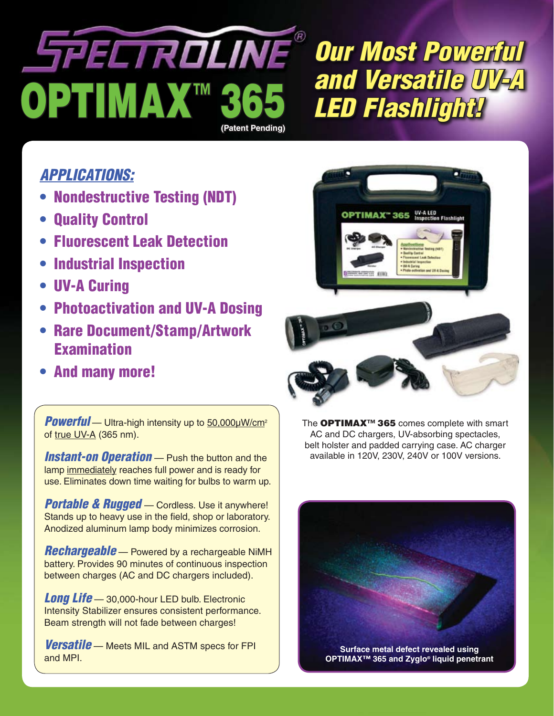# SPECTROLINE® OPTIMAX™ 3 **(Patent Pending)**

*Our Most Powerful and Versatile UV-A LED Flashlight!*

### *APPLICATIONS:*

- Nondestructive Testing (NDT)
- **Quality Control**
- Fluorescent Leak Detection
- Industrial Inspection
- UV-A Curing
- Photoactivation and UV-A Dosing
- Rare Document/Stamp/Artwork Examination
- And many more!

*Powerful* — Ultra-high intensity up to 50,000μW/cm<sup>2</sup> of true UV-A (365 nm).

**Instant-on Operation** - Push the button and the lamp immediately reaches full power and is ready for use. Eliminates down time waiting for bulbs to warm up.

*Portable & Rugged* — Cordless. Use it anywhere! Stands up to heavy use in the field, shop or laboratory. Anodized aluminum lamp body minimizes corrosion.

*Rechargeable* — Powered by a rechargeable NiMH battery. Provides 90 minutes of continuous inspection between charges (AC and DC chargers included).

*Long Life* — 30,000-hour LED bulb. Electronic Intensity Stabilizer ensures consistent performance. Beam strength will not fade between charges!

*Versatile* — Meets MIL and ASTM specs for FPI and MPI.



The OPTIMAX<sup>™</sup> 365 comes complete with smart AC and DC chargers, UV-absorbing spectacles, belt holster and padded carrying case. AC charger available in 120V, 230V, 240V or 100V versions.



**OPTIMAX™ 365 and Zyglo® liquid penetrant**